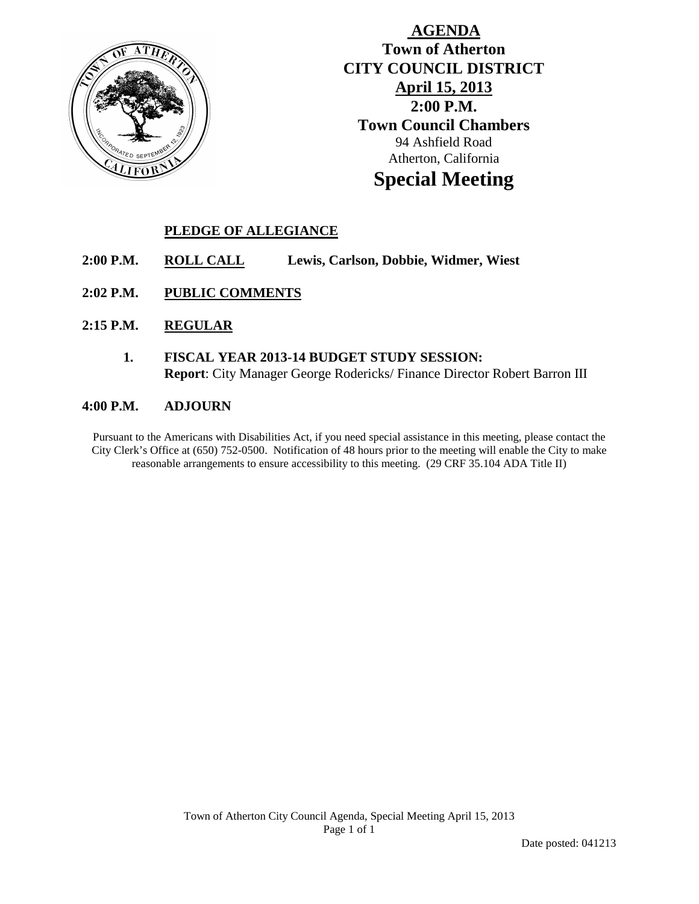

# **AGENDA Town of Atherton CITY COUNCIL DISTRICT April 15, 2013 2:00 P.M. Town Council Chambers** 94 Ashfield Road Atherton, California **Special Meeting**

## **PLEDGE OF ALLEGIANCE**

- **2:00 P.M. ROLL CALL Lewis, Carlson, Dobbie, Widmer, Wiest**
- **2:02 P.M. PUBLIC COMMENTS**
- **2:15 P.M. REGULAR**
	- **1. FISCAL YEAR 2013-14 BUDGET STUDY SESSION: Report**: City Manager George Rodericks/ Finance Director Robert Barron III

#### **4:00 P.M. ADJOURN**

Pursuant to the Americans with Disabilities Act, if you need special assistance in this meeting, please contact the City Clerk's Office at (650) 752-0500. Notification of 48 hours prior to the meeting will enable the City to make reasonable arrangements to ensure accessibility to this meeting. (29 CRF 35.104 ADA Title II)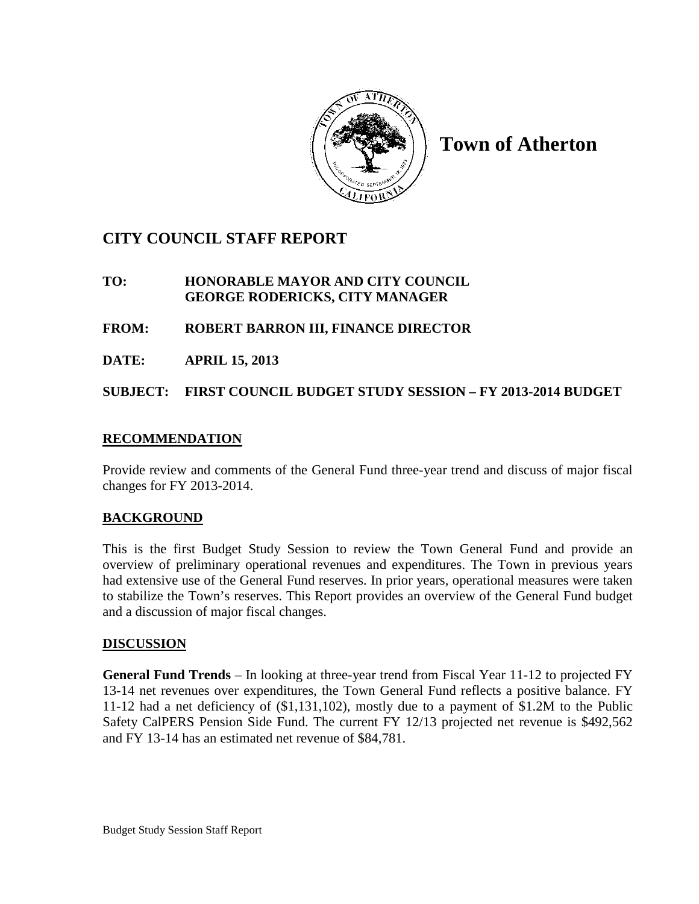

**Town of Atherton**

# **CITY COUNCIL STAFF REPORT**

### **TO: HONORABLE MAYOR AND CITY COUNCIL GEORGE RODERICKS, CITY MANAGER**

### **FROM: ROBERT BARRON III, FINANCE DIRECTOR**

**DATE: APRIL 15, 2013**

**SUBJECT: FIRST COUNCIL BUDGET STUDY SESSION – FY 2013-2014 BUDGET**

### **RECOMMENDATION**

Provide review and comments of the General Fund three-year trend and discuss of major fiscal changes for FY 2013-2014.

### **BACKGROUND**

This is the first Budget Study Session to review the Town General Fund and provide an overview of preliminary operational revenues and expenditures. The Town in previous years had extensive use of the General Fund reserves. In prior years, operational measures were taken to stabilize the Town's reserves. This Report provides an overview of the General Fund budget and a discussion of major fiscal changes.

#### **DISCUSSION**

**General Fund Trends** – In looking at three-year trend from Fiscal Year 11-12 to projected FY 13-14 net revenues over expenditures, the Town General Fund reflects a positive balance. FY 11-12 had a net deficiency of (\$1,131,102), mostly due to a payment of \$1.2M to the Public Safety CalPERS Pension Side Fund. The current FY 12/13 projected net revenue is \$492,562 and FY 13-14 has an estimated net revenue of \$84,781.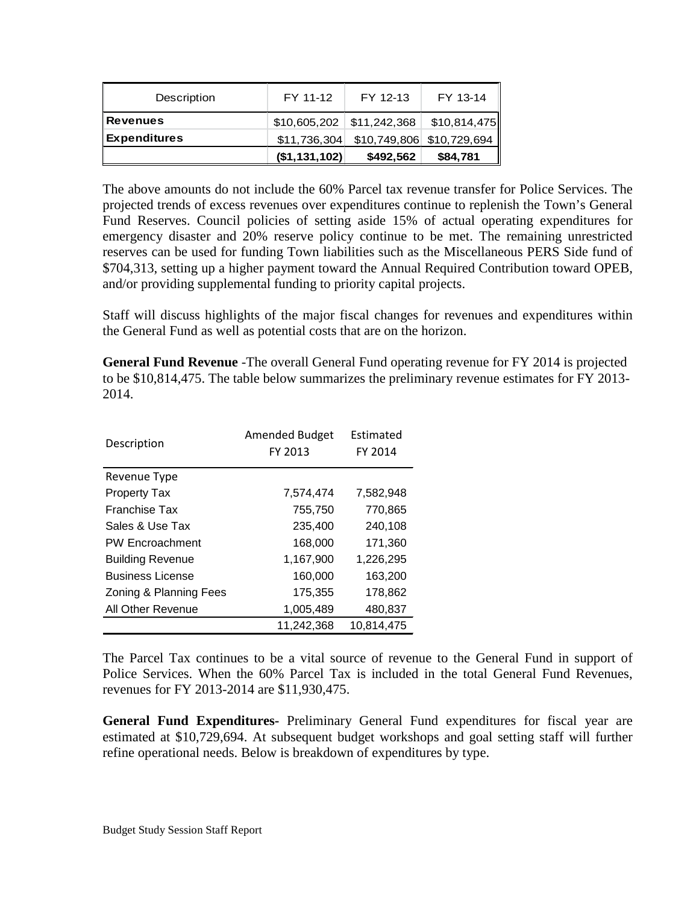| Description         | FY 11-12      | FY 12-13                               | FY 13-14     |
|---------------------|---------------|----------------------------------------|--------------|
| <b>Revenues</b>     |               | $$10,605,202$ $$11,242,368$            | \$10,814,475 |
| <b>Expenditures</b> |               | \$11,736,304 \$10,749,806 \$10,729,694 |              |
|                     | (\$1,131,102) | \$492,562                              | \$84,781     |

The above amounts do not include the 60% Parcel tax revenue transfer for Police Services. The projected trends of excess revenues over expenditures continue to replenish the Town's General Fund Reserves. Council policies of setting aside 15% of actual operating expenditures for emergency disaster and 20% reserve policy continue to be met. The remaining unrestricted reserves can be used for funding Town liabilities such as the Miscellaneous PERS Side fund of \$704,313, setting up a higher payment toward the Annual Required Contribution toward OPEB, and/or providing supplemental funding to priority capital projects.

Staff will discuss highlights of the major fiscal changes for revenues and expenditures within the General Fund as well as potential costs that are on the horizon.

**General Fund Revenue** -The overall General Fund operating revenue for FY 2014 is projected to be \$10,814,475. The table below summarizes the preliminary revenue estimates for FY 2013- 2014.

| Description             | <b>Amended Budget</b><br>FY 2013 | Estimated<br>FY 2014 |
|-------------------------|----------------------------------|----------------------|
| Revenue Type            |                                  |                      |
| <b>Property Tax</b>     | 7,574,474                        | 7,582,948            |
| Franchise Tax           | 755,750                          | 770,865              |
| Sales & Use Tax         | 235,400                          | 240,108              |
| <b>PW Encroachment</b>  | 168,000                          | 171,360              |
| <b>Building Revenue</b> | 1,167,900                        | 1,226,295            |
| <b>Business License</b> | 160,000                          | 163,200              |
| Zoning & Planning Fees  | 175,355                          | 178,862              |
| All Other Revenue       | 1,005,489                        | 480,837              |
|                         | 11,242,368                       | 10,814,475           |

The Parcel Tax continues to be a vital source of revenue to the General Fund in support of Police Services. When the 60% Parcel Tax is included in the total General Fund Revenues, revenues for FY 2013-2014 are \$11,930,475.

**General Fund Expenditures-** Preliminary General Fund expenditures for fiscal year are estimated at \$10,729,694. At subsequent budget workshops and goal setting staff will further refine operational needs. Below is breakdown of expenditures by type.